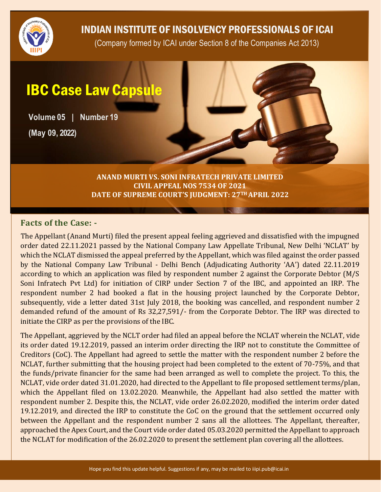

### INDIAN INSTITUTE OF INSOLVENCY PROFESSIONALS OF ICAI

(Company formed by ICAI under Section 8 of the Companies Act 2013)

# IBC Case Law Capsule

**Volume 05 | Number 19**

**(May 09, 2022)**

**ANAND MURTI VS. SONI INFRATECH PRIVATE LIMITED CIVIL APPEAL NOS 7534 OF 2021 DATE OF SUPREME COURT'S JUDGMENT: 27TH APRIL 2022**

#### **Facts of the Case: -**

The Appellant (Anand Murti) filed the present appeal feeling aggrieved and dissatisfied with the impugned order dated 22.11.2021 passed by the National Company Law Appellate Tribunal, New Delhi 'NCLAT' by which the NCLAT dismissed the appeal preferred by the Appellant, which was filed against the order passed by the National Company Law Tribunal - Delhi Bench (Adjudicating Authority 'AA') dated 22.11.2019 according to which an application was filed by respondent number 2 against the Corporate Debtor (M/S Soni Infratech Pvt Ltd) for initiation of CIRP under Section 7 of the IBC, and appointed an IRP. The respondent number 2 had booked a flat in the housing project launched by the Corporate Debtor, subsequently, vide a letter dated 31st July 2018, the booking was cancelled, and respondent number 2 demanded refund of the amount of Rs 32,27,591/- from the Corporate Debtor. The IRP was directed to initiate the CIRP as per the provisions of the IBC.

The Appellant, aggrieved by the NCLT order had filed an appeal before the NCLAT wherein the NCLAT, vide its order dated 19.12.2019, passed an interim order directing the IRP not to constitute the Committee of Creditors (CoC). The Appellant had agreed to settle the matter with the respondent number 2 before the NCLAT, further submitting that the housing project had been completed to the extent of 70-75%, and that the funds/private financier for the same had been arranged as well to complete the project. To this, the NCLAT, vide order dated 31.01.2020, had directed to the Appellant to file proposed settlement terms/plan, which the Appellant filed on 13.02.2020. Meanwhile, the Appellant had also settled the matter with respondent number 2. Despite this, the NCLAT, vide order 26.02.2020, modified the interim order dated 19.12.2019, and directed the IRP to constitute the CoC on the ground that the settlement occurred only between the Appellant and the respondent number 2 sans all the allottees. The Appellant, thereafter, approached the Apex Court, and the Court vide order dated 05.03.2020 permitted the Appellant to approach the NCLAT for modification of the 26.02.2020 to present the settlement plan covering all the allottees.